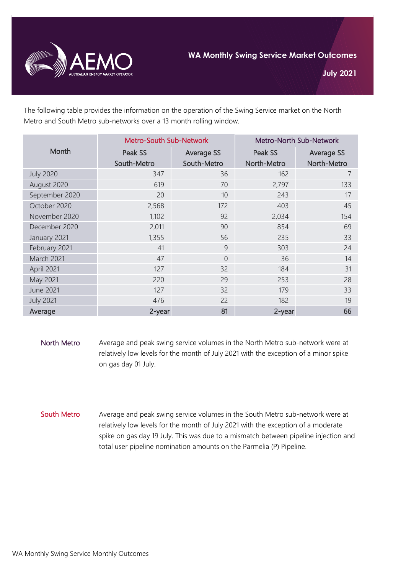

The following table provides the information on the operation of the Swing Service market on the North Metro and South Metro sub-networks over a 13 month rolling window.

| Month            | <b>Metro-South Sub-Network</b> |                   | <b>Metro-North Sub-Network</b> |                   |
|------------------|--------------------------------|-------------------|--------------------------------|-------------------|
|                  | Peak SS                        | <b>Average SS</b> | Peak SS                        | <b>Average SS</b> |
|                  | South-Metro                    | South-Metro       | North-Metro                    | North-Metro       |
| <b>July 2020</b> | 347                            | 36                | 162                            | 7                 |
| August 2020      | 619                            | 70                | 2,797                          | 133               |
| September 2020   | 20                             | 10                | 243                            | 17                |
| October 2020     | 2,568                          | 172               | 403                            | 45                |
| November 2020    | 1,102                          | 92                | 2,034                          | 154               |
| December 2020    | 2,011                          | 90                | 854                            | 69                |
| January 2021     | 1,355                          | 56                | 235                            | 33                |
| February 2021    | 41                             | 9                 | 303                            | 24                |
| March 2021       | 47                             | $\overline{0}$    | 36                             | 14                |
| April 2021       | 127                            | 32                | 184                            | 31                |
| May 2021         | 220                            | 29                | 253                            | 28                |
| <b>June 2021</b> | 127                            | 32                | 179                            | 33                |
| <b>July 2021</b> | 476                            | 22                | 182                            | 19                |
| Average          | 2-year                         | 81                | 2-year                         | 66                |

- North Metro Average and peak swing service volumes in the North Metro sub-network were at relatively low levels for the month of July 2021 with the exception of a minor spike on gas day 01 July.
- South Metro Average and peak swing service volumes in the South Metro sub-network were at relatively low levels for the month of July 2021 with the exception of a moderate spike on gas day 19 July. This was due to a mismatch between pipeline injection and total user pipeline nomination amounts on the Parmelia (P) Pipeline.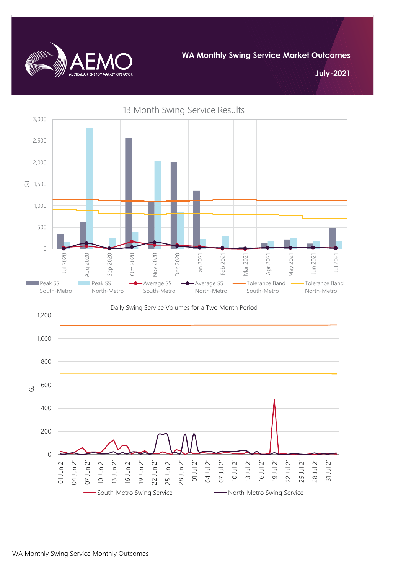

**WA Monthly Swing Service Market Outcomes**

**July-2021**